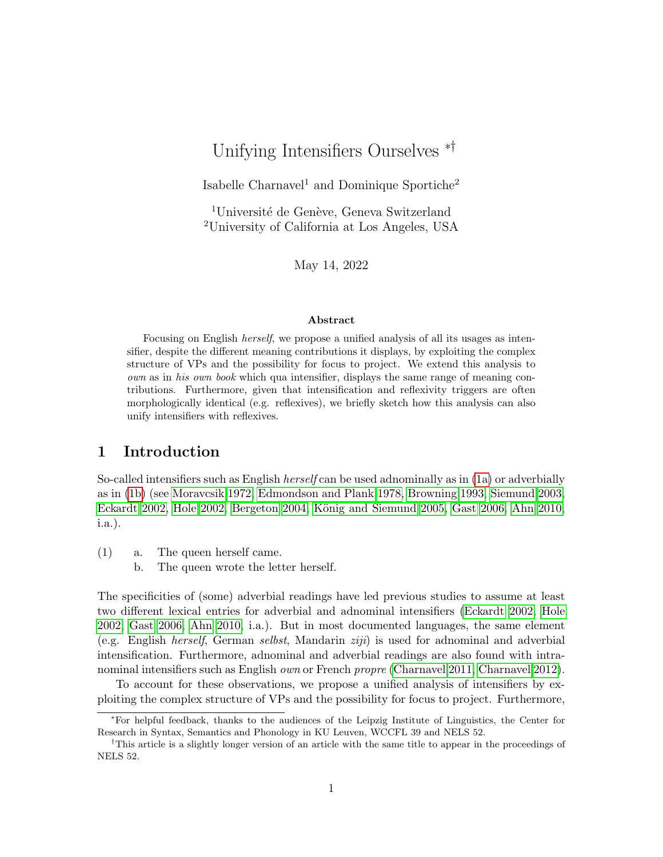# Unifying Intensifiers Ourselves ∗†

Isabelle Charnavel<sup>1</sup> and Dominique Sportiche<sup>2</sup>

<sup>1</sup>Université de Genève, Geneva Switzerland <sup>2</sup>University of California at Los Angeles, USA

May 14, 2022

#### Abstract

Focusing on English herself, we propose a unified analysis of all its usages as intensifier, despite the different meaning contributions it displays, by exploiting the complex structure of VPs and the possibility for focus to project. We extend this analysis to own as in his own book which qua intensifier, displays the same range of meaning contributions. Furthermore, given that intensification and reflexivity triggers are often morphologically identical (e.g. reflexives), we briefly sketch how this analysis can also unify intensifiers with reflexives.

# 1 Introduction

So-called intensifiers such as English herself can be used adnominally as in [\(1a\)](#page-0-0) or adverbially as in [\(1b\)](#page-0-1) (see [Moravcsik 1972,](#page-14-0) [Edmondson and Plank 1978,](#page-13-0) [Browning 1993,](#page-13-1) [Siemund 2003,](#page-14-1) [Eckardt 2002,](#page-13-2) [Hole 2002,](#page-13-3) [Bergeton 2004,](#page-12-0) König and Siemund 2005, [Gast 2006,](#page-13-4) [Ahn 2010,](#page-12-1) i.a.).

- <span id="page-0-1"></span><span id="page-0-0"></span>(1) a. The queen herself came.
	- b. The queen wrote the letter herself.

The specificities of (some) adverbial readings have led previous studies to assume at least two different lexical entries for adverbial and adnominal intensifiers [\(Eckardt 2002,](#page-13-2) [Hole](#page-13-3) [2002,](#page-13-3) [Gast 2006,](#page-13-4) [Ahn 2010,](#page-12-1) i.a.). But in most documented languages, the same element (e.g. English herself, German selbst, Mandarin ziji) is used for adnominal and adverbial intensification. Furthermore, adnominal and adverbial readings are also found with intranominal intensifiers such as English *own* or French *propre* [\(Charnavel 2011,](#page-13-5) [Charnavel 2012\)](#page-13-6).

To account for these observations, we propose a unified analysis of intensifiers by exploiting the complex structure of VPs and the possibility for focus to project. Furthermore,

<sup>∗</sup>For helpful feedback, thanks to the audiences of the Leipzig Institute of Linguistics, the Center for Research in Syntax, Semantics and Phonology in KU Leuven, WCCFL 39 and NELS 52.

<sup>†</sup>This article is a slightly longer version of an article with the same title to appear in the proceedings of NELS 52.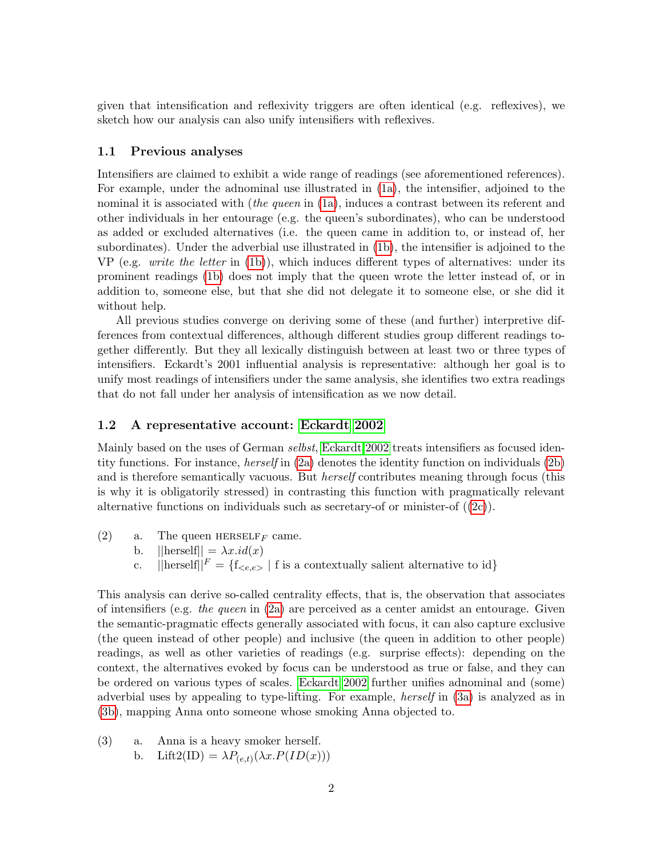given that intensification and reflexivity triggers are often identical (e.g. reflexives), we sketch how our analysis can also unify intensifiers with reflexives.

#### 1.1 Previous analyses

Intensifiers are claimed to exhibit a wide range of readings (see aforementioned references). For example, under the adnominal use illustrated in [\(1a\)](#page-0-0), the intensifier, adjoined to the nominal it is associated with (the queen in  $(1a)$ , induces a contrast between its referent and other individuals in her entourage (e.g. the queen's subordinates), who can be understood as added or excluded alternatives (i.e. the queen came in addition to, or instead of, her subordinates). Under the adverbial use illustrated in [\(1b\)](#page-0-1), the intensifier is adjoined to the VP (e.g. *write the letter* in  $(1b)$ ), which induces different types of alternatives: under its prominent readings [\(1b\)](#page-0-1) does not imply that the queen wrote the letter instead of, or in addition to, someone else, but that she did not delegate it to someone else, or she did it without help.

All previous studies converge on deriving some of these (and further) interpretive differences from contextual differences, although different studies group different readings together differently. But they all lexically distinguish between at least two or three types of intensifiers. Eckardt's 2001 influential analysis is representative: although her goal is to unify most readings of intensifiers under the same analysis, she identifies two extra readings that do not fall under her analysis of intensification as we now detail.

#### <span id="page-1-5"></span>1.2 A representative account: [Eckardt 2002](#page-13-2)

Mainly based on the uses of German *selbst*, [Eckardt 2002](#page-13-2) treats intensifiers as focused identity functions. For instance, herself in [\(2a\)](#page-1-0) denotes the identity function on individuals [\(2b\)](#page-1-1) and is therefore semantically vacuous. But *herself* contributes meaning through focus (this is why it is obligatorily stressed) in contrasting this function with pragmatically relevant alternative functions on individuals such as secretary-of or minister-of  $((2c))$  $((2c))$  $((2c))$ .

- <span id="page-1-2"></span><span id="page-1-1"></span><span id="page-1-0"></span>(2) a. The queen HERSELF<sub>F</sub> came.
	- b.  $||\text{herself}|| = \lambda x.id(x)$
	- c.  $||\text{herself}||^F = \{f_{\leq e,e>} \mid f \text{ is a contextually salient alternative to id}\}\$

This analysis can derive so-called centrality effects, that is, the observation that associates of intensifiers (e.g. the queen in  $(2a)$  are perceived as a center amidst an entourage. Given the semantic-pragmatic effects generally associated with focus, it can also capture exclusive (the queen instead of other people) and inclusive (the queen in addition to other people) readings, as well as other varieties of readings (e.g. surprise effects): depending on the context, the alternatives evoked by focus can be understood as true or false, and they can be ordered on various types of scales. [Eckardt 2002](#page-13-2) further unifies adnominal and (some) adverbial uses by appealing to type-lifting. For example, herself in [\(3a\)](#page-1-3) is analyzed as in [\(3b\)](#page-1-4), mapping Anna onto someone whose smoking Anna objected to.

<span id="page-1-4"></span><span id="page-1-3"></span>(3) a. Anna is a heavy smoker herself. b. Lift $2(ID) = \lambda P_{(e,t)}(\lambda x.P(ID(x)))$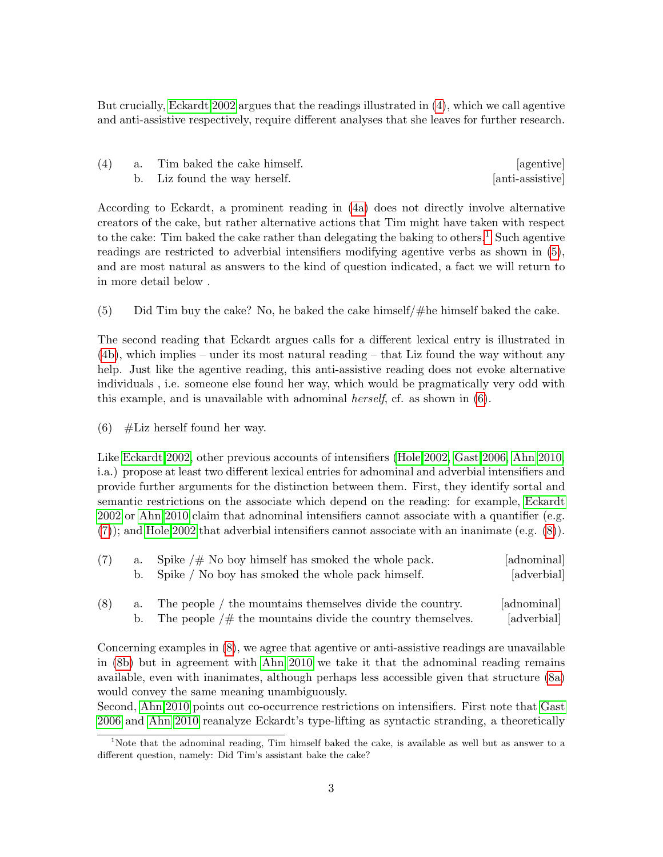<span id="page-2-0"></span>But crucially, [Eckardt 2002](#page-13-2) argues that the readings illustrated in [\(4\)](#page-2-0), which we call agentive and anti-assistive respectively, require different analyses that she leaves for further research.

<span id="page-2-4"></span><span id="page-2-1"></span>

| (4) | a. Tim baked the cake himself. | [agentive]       |
|-----|--------------------------------|------------------|
|     | b. Liz found the way herself.  | [anti-assistive] |

According to Eckardt, a prominent reading in [\(4a\)](#page-2-1) does not directly involve alternative creators of the cake, but rather alternative actions that Tim might have taken with respect to the cake: Tim baked the cake rather than delegating the baking to others.<sup>[1](#page-2-2)</sup> Such agentive readings are restricted to adverbial intensifiers modifying agentive verbs as shown in [\(5\)](#page-2-3), and are most natural as answers to the kind of question indicated, a fact we will return to in more detail below .

<span id="page-2-3"></span>(5) Did Tim buy the cake? No, he baked the cake himself  $/\#$ he himself baked the cake.

The second reading that Eckardt argues calls for a different lexical entry is illustrated in [\(4b\)](#page-2-4), which implies – under its most natural reading – that Liz found the way without any help. Just like the agentive reading, this anti-assistive reading does not evoke alternative individuals , i.e. someone else found her way, which would be pragmatically very odd with this example, and is unavailable with adnominal *herself*, cf. as shown in  $(6)$ .

<span id="page-2-5"></span> $(6)$  #Liz herself found her way.

Like [Eckardt 2002,](#page-13-2) other previous accounts of intensifiers [\(Hole 2002,](#page-13-3) [Gast 2006,](#page-13-4) [Ahn 2010,](#page-12-1) i.a.) propose at least two different lexical entries for adnominal and adverbial intensifiers and provide further arguments for the distinction between them. First, they identify sortal and semantic restrictions on the associate which depend on the reading: for example, [Eckardt](#page-13-2) [2002](#page-13-2) or [Ahn 2010](#page-12-1) claim that adnominal intensifiers cannot associate with a quantifier (e.g. [\(7\)](#page-2-6)); and [Hole 2002](#page-13-3) that adverbial intensifiers cannot associate with an inanimate (e.g. [\(8\)](#page-2-7)).

<span id="page-2-6"></span>

|  | a. Spike $/\#$ No boy himself has smoked the whole pack. | [adnominal] |
|--|----------------------------------------------------------|-------------|
|  | b. Spike / No boy has smoked the whole pack himself.     | [adverbial] |
|  |                                                          |             |

<span id="page-2-8"></span><span id="page-2-7"></span>(8) a. The people / the mountains themselves divide the country. [adnominal] b. The people  $/\#$  the mountains divide the country themselves. [adverbial]

Concerning examples in [\(8\)](#page-2-7), we agree that agentive or anti-assistive readings are unavailable in [\(8b\)](#page-2-8) but in agreement with [Ahn 2010](#page-12-1) we take it that the adnominal reading remains available, even with inanimates, although perhaps less accessible given that structure [\(8a\)](#page-2-7) would convey the same meaning unambiguously.

Second, [Ahn 2010](#page-12-1) points out co-occurrence restrictions on intensifiers. First note that [Gast](#page-13-4) [2006](#page-13-4) and [Ahn 2010](#page-12-1) reanalyze Eckardt's type-lifting as syntactic stranding, a theoretically

<span id="page-2-2"></span><sup>&</sup>lt;sup>1</sup>Note that the adnominal reading, Tim himself baked the cake, is available as well but as answer to a different question, namely: Did Tim's assistant bake the cake?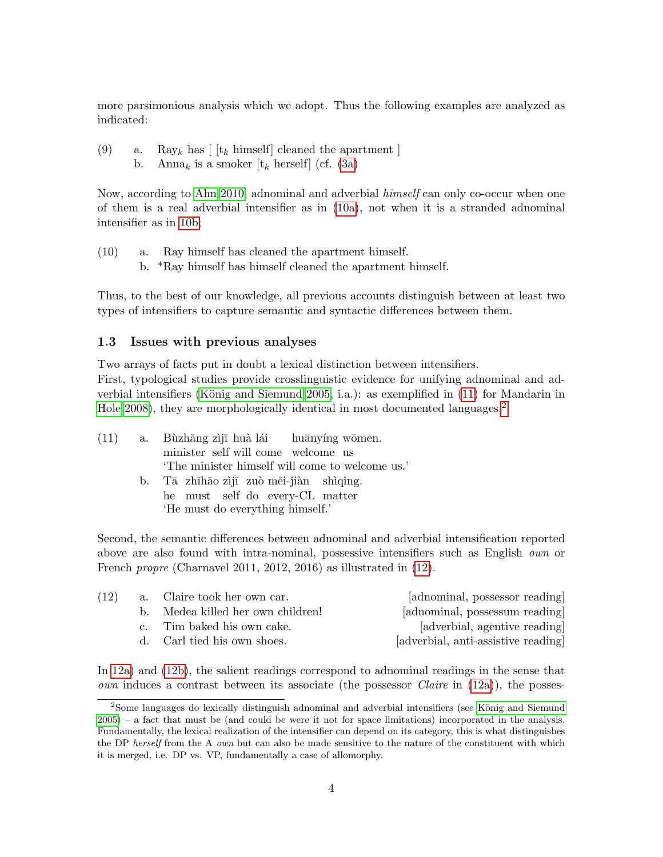more parsimonious analysis which we adopt. Thus the following examples are analyzed as indicated:

- (9) a. Ray<sub>k</sub> has  $\lceil \text{t}_k \text{ himself} \rceil$  cleaned the apartment  $\lceil \text{t}_k \rceil$ 
	- b. Anna<sub>k</sub> is a smoker  $[t_k]$  herself (cf. [\(3a\)](#page-1-3)

Now, according to [Ahn 2010,](#page-12-1) adnominal and adverbial *himself* can only co-occur when one of them is a real adverbial intensifier as in [\(10a\)](#page-3-0), not when it is a stranded adnominal intensifier as in [10b;](#page-3-1)

<span id="page-3-1"></span><span id="page-3-0"></span>(10) a. Ray himself has cleaned the apartment himself. b. \*Ray himself has himself cleaned the apartment himself.

Thus, to the best of our knowledge, all previous accounts distinguish between at least two types of intensifiers to capture semantic and syntactic differences between them.

#### <span id="page-3-9"></span>1.3 Issues with previous analyses

Two arrays of facts put in doubt a lexical distinction between intensifiers. First, typological studies provide crosslinguistic evidence for unifying adnominal and adverbial intensifiers (König and Siemund 2005, i.a.): as exemplified in  $(11)$  for Mandarin in [Hole 2008\)](#page-13-7), they are morphologically identical in most documented languages.<sup>[2](#page-3-3)</sup>

<span id="page-3-2"></span>

| (11) | a. Bùzhǎng zìjǐ huà lái huānyíng wǒmen.        |
|------|------------------------------------------------|
|      | minister self will come welcome us             |
|      | The minister himself will come to welcome us.' |
|      | b. Tā zhi hào zì ji zuò měi-jiàn shìqing.      |
|      | he must self do every-CL matter                |
|      | 'He must do everything himself.'               |

Second, the semantic differences between adnominal and adverbial intensification reported above are also found with intra-nominal, possessive intensifiers such as English own or French *propre* (Charnavel 2011, 2012, 2016) as illustrated in  $(12)$ .

<span id="page-3-7"></span><span id="page-3-6"></span><span id="page-3-5"></span><span id="page-3-4"></span>

| (12) | a. Claire took her own car.       | [adnominal, possessor reading]      |
|------|-----------------------------------|-------------------------------------|
|      | b. Medea killed her own children! | [adnominal, possessum reading]      |
|      | c. Tim baked his own cake.        | [adverbial, agentive reading]       |
|      | d. Carl tied his own shoes.       | [adverbial, anti-assistive reading] |
|      |                                   |                                     |

<span id="page-3-8"></span>In [12a\)](#page-3-5) and [\(12b\)](#page-3-6), the salient readings correspond to adnominal readings in the sense that *own* induces a contrast between its associate (the possessor *Claire* in  $(12a)$ ), the posses-

<span id="page-3-3"></span> $2$ Some languages do lexically distinguish adnominal and adverbial intensifiers (see König and Siemund [2005\)](#page-14-2) – a fact that must be (and could be were it not for space limitations) incorporated in the analysis. Fundamentally, the lexical realization of the intensifier can depend on its category, this is what distinguishes the DP herself from the A own but can also be made sensitive to the nature of the constituent with which it is merged, i.e. DP vs. VP, fundamentally a case of allomorphy.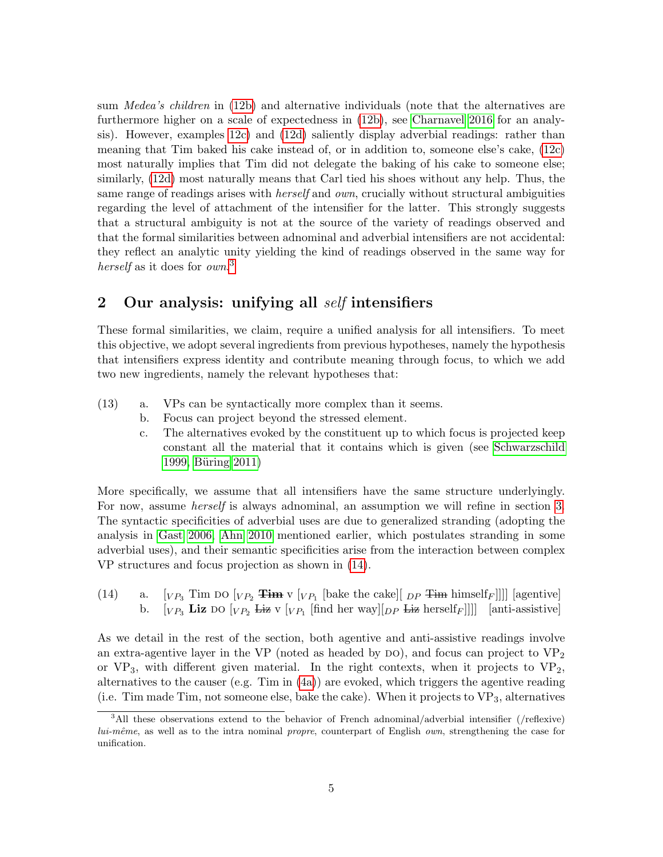sum *Medea's children* in [\(12b\)](#page-3-6) and alternative individuals (note that the alternatives are furthermore higher on a scale of expectedness in [\(12b\)](#page-3-6), see [Charnavel 2016](#page-13-8) for an analysis). However, examples [12c\)](#page-3-7) and [\(12d\)](#page-3-8) saliently display adverbial readings: rather than meaning that Tim baked his cake instead of, or in addition to, someone else's cake, [\(12c\)](#page-3-7) most naturally implies that Tim did not delegate the baking of his cake to someone else; similarly, [\(12d\)](#page-3-8) most naturally means that Carl tied his shoes without any help. Thus, the same range of readings arises with *herself* and *own*, crucially without structural ambiguities regarding the level of attachment of the intensifier for the latter. This strongly suggests that a structural ambiguity is not at the source of the variety of readings observed and that the formal similarities between adnominal and adverbial intensifiers are not accidental: they reflect an analytic unity yielding the kind of readings observed in the same way for herself as it does for  $own.<sup>3</sup>$  $own.<sup>3</sup>$  $own.<sup>3</sup>$ 

# 2 Our analysis: unifying all *self* intensifiers

These formal similarities, we claim, require a unified analysis for all intensifiers. To meet this objective, we adopt several ingredients from previous hypotheses, namely the hypothesis that intensifiers express identity and contribute meaning through focus, to which we add two new ingredients, namely the relevant hypotheses that:

- <span id="page-4-4"></span><span id="page-4-3"></span>(13) a. VPs can be syntactically more complex than it seems.
	- b. Focus can project beyond the stressed element.
	- c. The alternatives evoked by the constituent up to which focus is projected keep constant all the material that it contains which is given (see [Schwarzschild](#page-14-3) [1999,](#page-14-3) Büring 2011)

More specifically, we assume that all intensifiers have the same structure underlyingly. For now, assume *herself* is always adnominal, an assumption we will refine in section [3.](#page-9-0) The syntactic specificities of adverbial uses are due to generalized stranding (adopting the analysis in [Gast 2006,](#page-13-4) [Ahn 2010](#page-12-1) mentioned earlier, which postulates stranding in some adverbial uses), and their semantic specificities arise from the interaction between complex VP structures and focus projection as shown in [\(14\)](#page-4-1).

<span id="page-4-2"></span><span id="page-4-1"></span>(14) a.  $[\wp_{P_3}$  Tim DO  $[\wp_{P_2}$  **Tim** v  $[\wp_{P_1}$  [bake the cake][  $_{DP}$  <del>Tim</del> himself<sub>F</sub>]]]] [agentive] b.  $[V_{P_3}]$  Liz DO  $[V_{P_2}]$  Liz v  $[V_{P_1}]$  [find her way] $[D_P]$  Liz herself<sub>F</sub>]]]] [anti-assistive]

As we detail in the rest of the section, both agentive and anti-assistive readings involve an extra-agentive layer in the VP (noted as headed by  $\text{DO}$ ), and focus can project to VP<sub>2</sub> or  $VP_3$ , with different given material. In the right contexts, when it projects to  $VP_2$ , alternatives to the causer (e.g. Tim in [\(4a\)](#page-2-1)) are evoked, which triggers the agentive reading (i.e. Tim made Tim, not someone else, bake the cake). When it projects to  $VP_3$ , alternatives

<span id="page-4-0"></span><sup>3</sup>All these observations extend to the behavior of French adnominal/adverbial intensifier (/reflexive) lui-même, as well as to the intra nominal propre, counterpart of English own, strengthening the case for unification.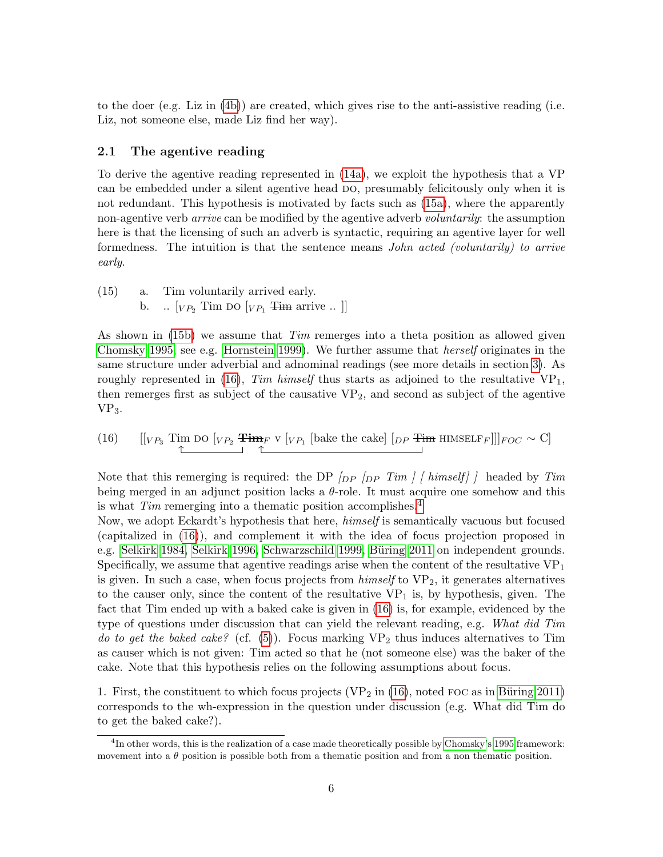to the doer (e.g. Liz in [\(4b\)](#page-2-4)) are created, which gives rise to the anti-assistive reading (i.e. Liz, not someone else, made Liz find her way).

### 2.1 The agentive reading

To derive the agentive reading represented in [\(14a\)](#page-4-2), we exploit the hypothesis that a VP can be embedded under a silent agentive head do, presumably felicitously only when it is not redundant. This hypothesis is motivated by facts such as [\(15a\)](#page-5-0), where the apparently non-agentive verb *arrive* can be modified by the agentive adverb *voluntarily*: the assumption here is that the licensing of such an adverb is syntactic, requiring an agentive layer for well formedness. The intuition is that the sentence means *John acted (voluntarily) to arrive* early.

<span id="page-5-4"></span><span id="page-5-1"></span><span id="page-5-0"></span>(15) a. Tim voluntarily arrived early. b.  $\ldots$  [ $VP_2$  Tim DO [ $VP_1$  <del>Tim</del> arrive ...]]

As shown in [\(15b\)](#page-5-1) we assume that Tim remerges into a theta position as allowed given [Chomsky 1995,](#page-13-10) see e.g. [Hornstein 1999\)](#page-13-11). We further assume that herself originates in the same structure under adverbial and adnominal readings (see more details in section [3\)](#page-9-0). As roughly represented in [\(16\)](#page-5-2), Tim himself thus starts as adjoined to the resultative  $VP_1$ , then remerges first as subject of the causative  $VP_2$ , and second as subject of the agentive  $VP_3$ .

<span id="page-5-2"></span>(16) 
$$
[[v_{P_3} \text{ Tim DO } [v_{P_2} \text{ Tim}_{F} \text{V } [v_{P_1} \text{ [bake the cake]} [p_P \text{ Tim HIMSELF}_{F}]]]_{FOC} \sim C]
$$

Note that this remerging is required: the DP  $_{DP}$   $_{DP}$   $_{Tim}$  /  $_{himself}$  | headed by  $^{Tim}$ being merged in an adjunct position lacks a  $\theta$ -role. It must acquire one somehow and this is what Tim remerging into a thematic position accomplishes.<sup>[4](#page-5-3)</sup>

Now, we adopt Eckardt's hypothesis that here, himself is semantically vacuous but focused (capitalized in [\(16\)](#page-5-2)), and complement it with the idea of focus projection proposed in e.g. [Selkirk 1984,](#page-14-4) [Selkirk 1996,](#page-14-5) [Schwarzschild 1999,](#page-14-3) Büring 2011 on independent grounds. Specifically, we assume that agentive readings arise when the content of the resultative  $VP_1$ is given. In such a case, when focus projects from  $himself$  to  $VP_2$ , it generates alternatives to the causer only, since the content of the resultative  $VP_1$  is, by hypothesis, given. The fact that Tim ended up with a baked cake is given in [\(16\)](#page-5-2) is, for example, evidenced by the type of questions under discussion that can yield the relevant reading, e.g. What did Tim do to get the baked cake? (cf.  $(5)$ ). Focus marking  $VP_2$  thus induces alternatives to Tim as causer which is not given: Tim acted so that he (not someone else) was the baker of the cake. Note that this hypothesis relies on the following assumptions about focus.

1. First, the constituent to which focus projects ( $VP_2$  in [\(16\)](#page-5-2), noted FOC as in Büring 2011) corresponds to the wh-expression in the question under discussion (e.g. What did Tim do to get the baked cake?).

<span id="page-5-3"></span><sup>&</sup>lt;sup>4</sup>In other words, this is the realization of a case made theoretically possible by [Chomsky'](#page-13-10)s [1995](#page-13-10) framework: movement into a  $\theta$  position is possible both from a thematic position and from a non thematic position.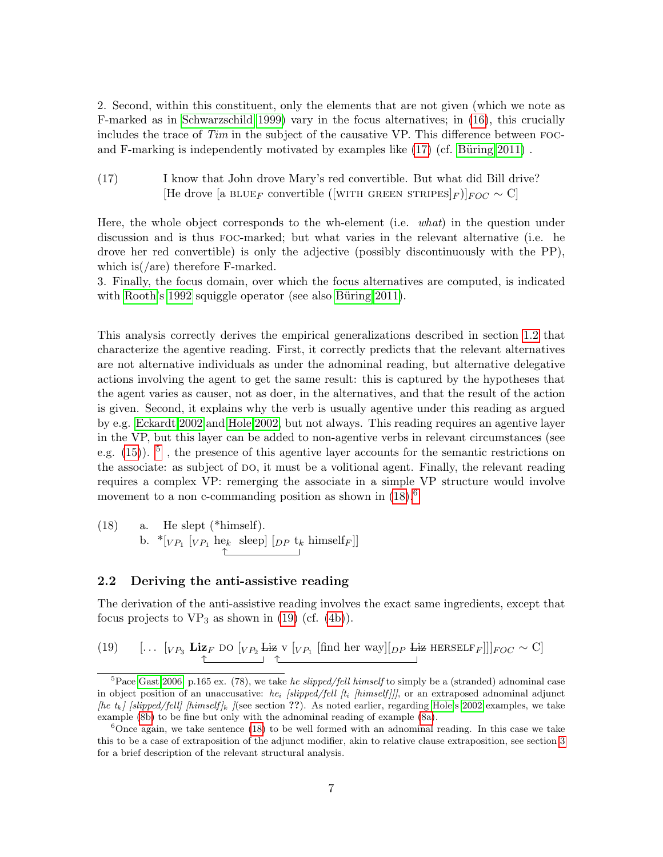2. Second, within this constituent, only the elements that are not given (which we note as F-marked as in [Schwarzschild 1999\)](#page-14-3) vary in the focus alternatives; in [\(16\)](#page-5-2), this crucially includes the trace of  $Tim$  in the subject of the causative VP. This difference between FOCand F-marking is independently motivated by examples like  $(17)$  (cf. Büring  $2011$ ).

<span id="page-6-0"></span>(17) I know that John drove Mary's red convertible. But what did Bill drive? [He drove [a BLUE<sub>F</sub> convertible ([WITH GREEN STRIPES]<sub>F</sub>)]<sub>FOC</sub> ~ C]

Here, the whole object corresponds to the wh-element (i.e. *what*) in the question under discussion and is thus foc-marked; but what varies in the relevant alternative (i.e. he drove her red convertible) is only the adjective (possibly discontinuously with the PP), which is  $\frac{1}{2}$  therefore F-marked.

3. Finally, the focus domain, over which the focus alternatives are computed, is indicated with [Rooth'](#page-14-6)s [1992](#page-14-6) squiggle operator (see also Büring 2011).

This analysis correctly derives the empirical generalizations described in section [1.2](#page-1-5) that characterize the agentive reading. First, it correctly predicts that the relevant alternatives are not alternative individuals as under the adnominal reading, but alternative delegative actions involving the agent to get the same result: this is captured by the hypotheses that the agent varies as causer, not as doer, in the alternatives, and that the result of the action is given. Second, it explains why the verb is usually agentive under this reading as argued by e.g. [Eckardt 2002](#page-13-2) and [Hole 2002,](#page-13-3) but not always. This reading requires an agentive layer in the VP, but this layer can be added to non-agentive verbs in relevant circumstances (see e.g. [\(15\)](#page-5-4)). <sup>[5](#page-6-1)</sup>, the presence of this agentive layer accounts for the semantic restrictions on the associate: as subject of DO, it must be a volitional agent. Finally, the relevant reading requires a complex VP: remerging the associate in a simple VP structure would involve movement to a non c-commanding position as shown in  $(18)$ .<sup>[6](#page-6-3)</sup>

<span id="page-6-2"></span>(18) a. He slept (\*himself).  
b. \*[
$$
VP_1
$$
 [ $VP_1$  he<sub>k</sub> sleep] [ $DP$  t<sub>k</sub> himself<sub>F</sub>]]

### 2.2 Deriving the anti-assistive reading

The derivation of the anti-assistive reading involves the exact same ingredients, except that focus projects to  $VP_3$  as shown in [\(19\)](#page-6-4) (cf. [\(4b\)](#page-2-4)).

<span id="page-6-4"></span>(19)  $\left[ \dots \right]_{VP_3}$  Liz  $\uparrow$  $_F$  DO  $[\![\mathrm{v} \, p_2\, \mathrm{Liz} \,$  v  $[\![\mathrm{v} \, p_1\,$  [find her way]  $[\![\mathrm{p} \, p \, \mathrm{Liz}]$  $\uparrow$  $HERSELF_F$ ]] $FOC \sim C$ ]

<span id="page-6-1"></span><sup>&</sup>lt;sup>5</sup>Pace [Gast 2006,](#page-13-4) p.165 ex. (78), we take he slipped/fell himself to simply be a (stranded) adnominal case in object position of an unaccusative: he<sub>i</sub> [slipped/fell  $|t_i|$  [himself]]], or an extraposed adnominal adjunct [he t<sub>k</sub>] [slipped/fell] [himself]<sub>k</sub> [(see section ??). As noted earlier, regarding [Hole'](#page-13-3)s [2002](#page-13-3) examples, we take example [\(8b\)](#page-2-8) to be fine but only with the adnominal reading of example [\(8a\)](#page-2-7).

<span id="page-6-3"></span><sup>&</sup>lt;sup>6</sup>Once again, we take sentence  $(18)$  to be well formed with an adnominal reading. In this case we take this to be a case of extraposition of the adjunct modifier, akin to relative clause extraposition, see section [3](#page-9-0) for a brief description of the relevant structural analysis.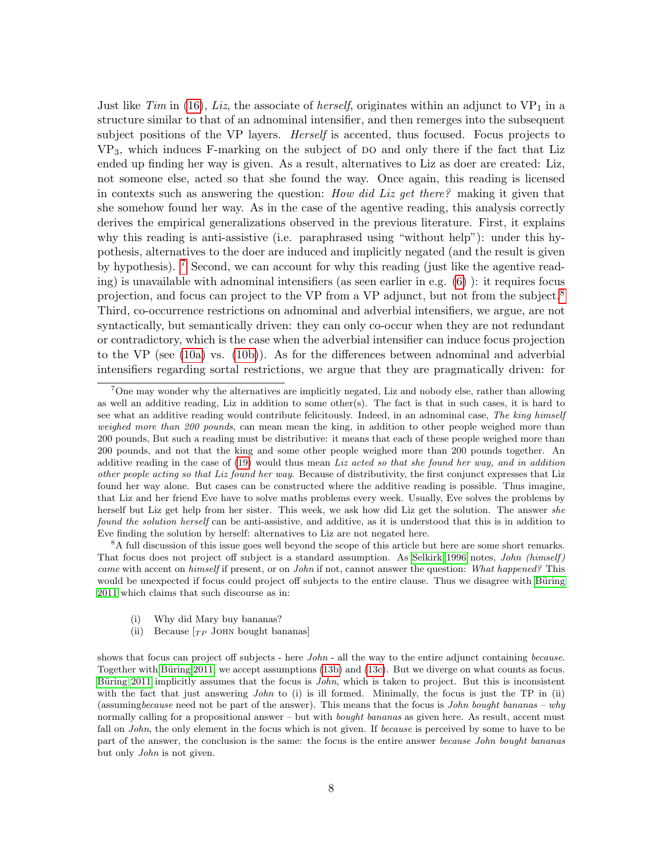Just like Tim in [\(16\)](#page-5-2), Liz, the associate of herself, originates within an adjunct to  $VP_1$  in a structure similar to that of an adnominal intensifier, and then remerges into the subsequent subject positions of the VP layers. *Herself* is accented, thus focused. Focus projects to  $VP<sub>3</sub>$ , which induces F-marking on the subject of DO and only there if the fact that Liz ended up finding her way is given. As a result, alternatives to Liz as doer are created: Liz, not someone else, acted so that she found the way. Once again, this reading is licensed in contexts such as answering the question: How did Liz get there? making it given that she somehow found her way. As in the case of the agentive reading, this analysis correctly derives the empirical generalizations observed in the previous literature. First, it explains why this reading is anti-assistive (i.e. paraphrased using "without help"): under this hypothesis, alternatives to the doer are induced and implicitly negated (and the result is given by hypothesis). <sup>[7](#page-7-0)</sup> Second, we can account for why this reading (just like the agentive reading) is unavailable with adnominal intensifiers (as seen earlier in e.g.  $(6)$ ): it requires focus projection, and focus can project to the VP from a VP adjunct, but not from the subject.<sup>[8](#page-7-1)</sup> Third, co-occurrence restrictions on adnominal and adverbial intensifiers, we argue, are not syntactically, but semantically driven: they can only co-occur when they are not redundant or contradictory, which is the case when the adverbial intensifier can induce focus projection to the VP (see [\(10a\)](#page-3-0) vs. [\(10b\)](#page-3-1)). As for the differences between adnominal and adverbial intensifiers regarding sortal restrictions, we argue that they are pragmatically driven: for

<span id="page-7-1"></span><sup>8</sup>A full discussion of this issue goes well beyond the scope of this article but here are some short remarks. That focus does not project off subject is a standard assumption. As [Selkirk 1996](#page-14-5) notes, *John (himself)* came with accent on himself if present, or on John if not, cannot answer the question: What happened? This would be unexpected if focus could project off subjects to the entire clause. Thus we disagree with Büring [2011](#page-13-9) which claims that such discourse as in:

- (i) Why did Mary buy bananas?
- (ii) Because  $[T_P$  JOHN bought bananas]

<span id="page-7-0"></span><sup>7</sup>One may wonder why the alternatives are implicitly negated, Liz and nobody else, rather than allowing as well an additive reading, Liz in addition to some other(s). The fact is that in such cases, it is hard to see what an additive reading would contribute felicitously. Indeed, in an adnominal case, The king himself weighed more than 200 pounds, can mean mean the king, in addition to other people weighed more than 200 pounds, But such a reading must be distributive: it means that each of these people weighed more than 200 pounds, and not that the king and some other people weighed more than 200 pounds together. An additive reading in the case of  $(19)$  would thus mean Liz acted so that she found her way, and in addition other people acting so that Liz found her way. Because of distributivity, the first conjunct expresses that Liz found her way alone. But cases can be constructed where the additive reading is possible. Thus imagine, that Liz and her friend Eve have to solve maths problems every week. Usually, Eve solves the problems by herself but Liz get help from her sister. This week, we ask how did Liz get the solution. The answer she found the solution herself can be anti-assistive, and additive, as it is understood that this is in addition to Eve finding the solution by herself: alternatives to Liz are not negated here.

shows that focus can project off subjects - here John - all the way to the entire adjunct containing because. Together with Büring 2011, we accept assumptions [\(13b\)](#page-4-3) and [\(13c\)](#page-4-4). But we diverge on what counts as focus. Büring 2011 implicitly assumes that the focus is *John*, which is taken to project. But this is inconsistent with the fact that just answering *John* to (i) is ill formed. Minimally, the focus is just the TP in (ii) (assumingbecause need not be part of the answer). This means that the focus is John bought bananas – why normally calling for a propositional answer – but with *bought bananas* as given here. As result, accent must fall on *John*, the only element in the focus which is not given. If *because* is perceived by some to have to be part of the answer, the conclusion is the same: the focus is the entire answer because John bought bananas but only John is not given.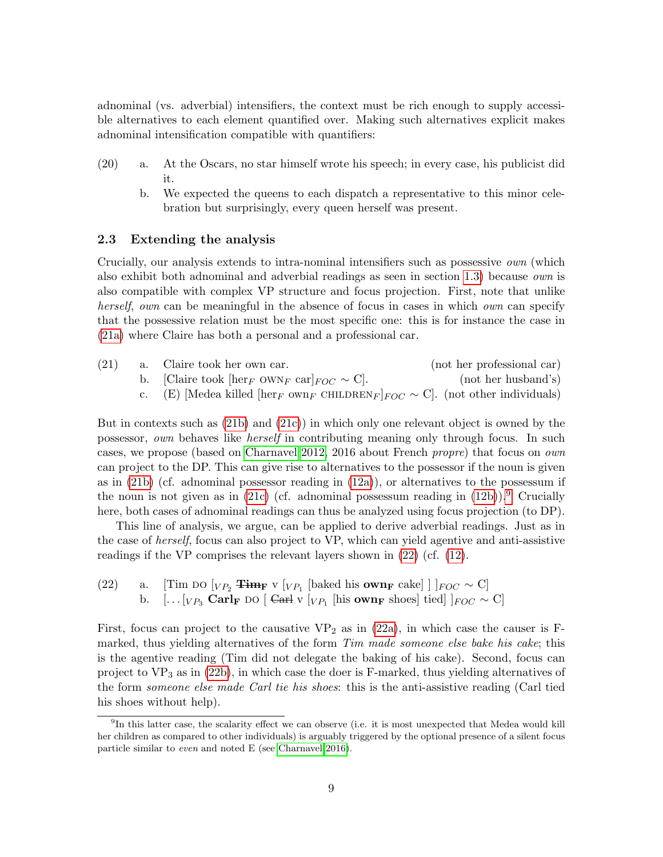adnominal (vs. adverbial) intensifiers, the context must be rich enough to supply accessible alternatives to each element quantified over. Making such alternatives explicit makes adnominal intensification compatible with quantifiers:

- (20) a. At the Oscars, no star himself wrote his speech; in every case, his publicist did it.
	- b. We expected the queens to each dispatch a representative to this minor celebration but surprisingly, every queen herself was present.

#### 2.3 Extending the analysis

Crucially, our analysis extends to intra-nominal intensifiers such as possessive own (which also exhibit both adnominal and adverbial readings as seen in section [1.3\)](#page-3-9) because *own* is also compatible with complex VP structure and focus projection. First, note that unlike herself, own can be meaningful in the absence of focus in cases in which own can specify that the possessive relation must be the most specific one: this is for instance the case in [\(21a\)](#page-8-0) where Claire has both a personal and a professional car.

<span id="page-8-2"></span><span id="page-8-1"></span><span id="page-8-0"></span>

| (21) | a. Claire took her own car.                                                                                                       | (not her professional car) |
|------|-----------------------------------------------------------------------------------------------------------------------------------|----------------------------|
|      | b. Claire took $[\text{her}_F \text{ OWN}_F \text{ car}]_{FOC} \sim C$ .                                                          | (not her husband's)        |
|      | c. (E) [Medea killed [her <sub>F</sub> own <sub>F</sub> CHILDREN <sub>F</sub> ] <sub>FOC</sub> $\sim$ C]. (not other individuals) |                            |

But in contexts such as [\(21b\)](#page-8-1) and [\(21c\)](#page-8-2)) in which only one relevant object is owned by the possessor, own behaves like herself in contributing meaning only through focus. In such cases, we propose (based on [Charnavel 2012,](#page-13-6) 2016 about French propre) that focus on own can project to the DP. This can give rise to alternatives to the possessor if the noun is given as in [\(21b\)](#page-8-1) (cf. adnominal possessor reading in [\(12a\)](#page-3-5)), or alternatives to the possessum if the noun is not given as in [\(21c\)](#page-8-2) (cf. adnominal possessum reading in  $(12b)$ ).<sup>[9](#page-8-3)</sup> Crucially here, both cases of adnominal readings can thus be analyzed using focus projection (to DP).

This line of analysis, we argue, can be applied to derive adverbial readings. Just as in the case of herself, focus can also project to VP, which can yield agentive and anti-assistive readings if the VP comprises the relevant layers shown in [\(22\)](#page-8-4) (cf. [\(12\)](#page-3-4).

<span id="page-8-6"></span><span id="page-8-5"></span><span id="page-8-4"></span>(22) a. [Tim DO [
$$
v_{P_2}
$$
 **Tim**<sub>F</sub> v [ $v_{P_1}$  [baked his **own**<sub>F</sub> cake] ]  $|_{FOC} \sim C$ ]  
b. [...]  $v_{P_3}$  **Carl**<sub>F</sub> DO [ **Carl** v [ $v_{P_1}$  [his **own**<sub>F</sub> shoes] tied]  $|_{FOC} \sim C$ ]

First, focus can project to the causative  $VP_2$  as in [\(22a\)](#page-8-5), in which case the causer is Fmarked, thus yielding alternatives of the form Tim made someone else bake his cake; this is the agentive reading (Tim did not delegate the baking of his cake). Second, focus can project to  $VP_3$  as in [\(22b\)](#page-8-6), in which case the doer is F-marked, thus yielding alternatives of the form someone else made Carl tie his shoes: this is the anti-assistive reading (Carl tied his shoes without help).

<span id="page-8-3"></span><sup>&</sup>lt;sup>9</sup>In this latter case, the scalarity effect we can observe (i.e. it is most unexpected that Medea would kill her children as compared to other individuals) is arguably triggered by the optional presence of a silent focus particle similar to even and noted E (see [Charnavel 2016\)](#page-13-8).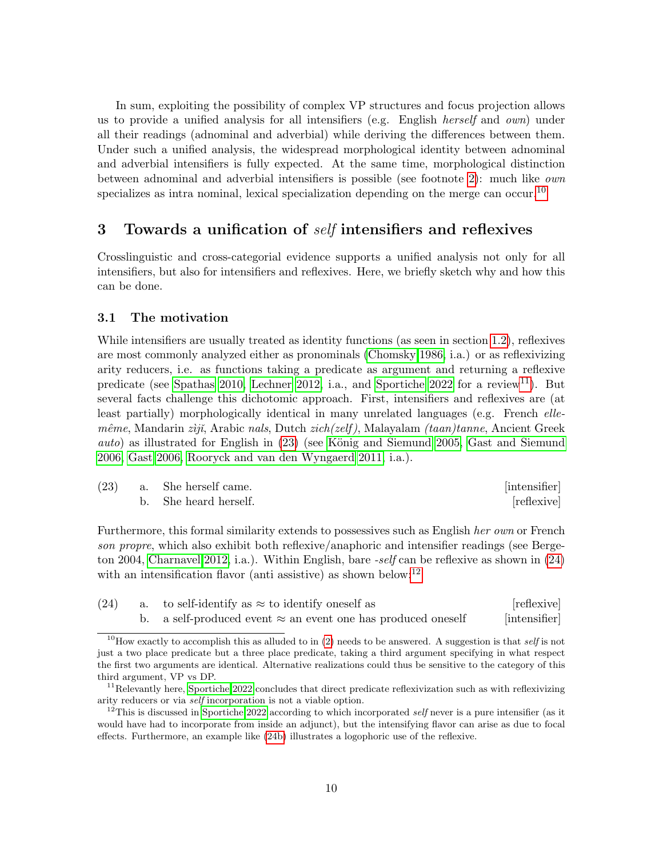In sum, exploiting the possibility of complex VP structures and focus projection allows us to provide a unified analysis for all intensifiers (e.g. English herself and own) under all their readings (adnominal and adverbial) while deriving the differences between them. Under such a unified analysis, the widespread morphological identity between adnominal and adverbial intensifiers is fully expected. At the same time, morphological distinction between adnominal and adverbial intensifiers is possible (see footnote [2\)](#page-3-3): much like own specializes as intra nominal, lexical specialization depending on the merge can occur.<sup>[10](#page-9-1)</sup>

# <span id="page-9-0"></span>3 Towards a unification of *self* intensifiers and reflexives

Crosslinguistic and cross-categorial evidence supports a unified analysis not only for all intensifiers, but also for intensifiers and reflexives. Here, we briefly sketch why and how this can be done.

#### 3.1 The motivation

While intensifiers are usually treated as identity functions (as seen in section [1.2\)](#page-1-5), reflexives are most commonly analyzed either as pronominals [\(Chomsky 1986,](#page-13-12) i.a.) or as reflexivizing arity reducers, i.e. as functions taking a predicate as argument and returning a reflexive predicate (see [Spathas 2010,](#page-14-7) [Lechner 2012,](#page-14-8) i.a., and [Sportiche 2022](#page-14-9) for a review<sup>[11](#page-9-2)</sup>). But several facts challenge this dichotomic approach. First, intensifiers and reflexives are (at least partially) morphologically identical in many unrelated languages (e.g. French *elle* $m\hat{e}$ me, Mandarin ziji, Arabic nals, Dutch zich(zelf), Malayalam (taan)tanne, Ancient Greek auto) as illustrated for English in  $(23)$  (see König and Siemund 2005, [Gast and Siemund](#page-13-13) [2006,](#page-13-13) [Gast 2006,](#page-13-4) [Rooryck and van den Wyngaerd 2011,](#page-14-10) i.a.).

<span id="page-9-8"></span><span id="page-9-7"></span><span id="page-9-3"></span>

| (23) | a. She herself came.  | [intensifier] |
|------|-----------------------|---------------|
|      | b. She heard herself. | [reflexive]   |

Furthermore, this formal similarity extends to possessives such as English her own or French son propre, which also exhibit both reflexive/anaphoric and intensifier readings (see Bergeton 2004, [Charnavel 2012,](#page-13-6) i.a.). Within English, bare -self can be reflexive as shown in [\(24\)](#page-9-4) with an intensification flavor (anti assistive) as shown below:<sup>[12](#page-9-5)</sup>

<span id="page-9-6"></span><span id="page-9-4"></span>

| (24) | a. to self-identify as $\approx$ to identify oneself as                        | [reflexive]   |
|------|--------------------------------------------------------------------------------|---------------|
|      | $\therefore$ a self-produced event $\approx$ an event one has produced oneself | [intensifier] |

<span id="page-9-1"></span><sup>&</sup>lt;sup>10</sup>How exactly to accomplish this as alluded to in  $(2)$  needs to be answered. A suggestion is that self is not just a two place predicate but a three place predicate, taking a third argument specifying in what respect the first two arguments are identical. Alternative realizations could thus be sensitive to the category of this third argument, VP vs DP.

<span id="page-9-2"></span><sup>&</sup>lt;sup>11</sup>Relevantly here, [Sportiche 2022](#page-14-9) concludes that direct predicate reflexivization such as with reflexivizing arity reducers or via self incorporation is not a viable option.

<span id="page-9-5"></span><sup>&</sup>lt;sup>12</sup>This is discussed in [Sportiche 2022](#page-14-9) according to which incorporated *self* never is a pure intensifier (as it would have had to incorporate from inside an adjunct), but the intensifying flavor can arise as due to focal effects. Furthermore, an example like [\(24b\)](#page-9-6) illustrates a logophoric use of the reflexive.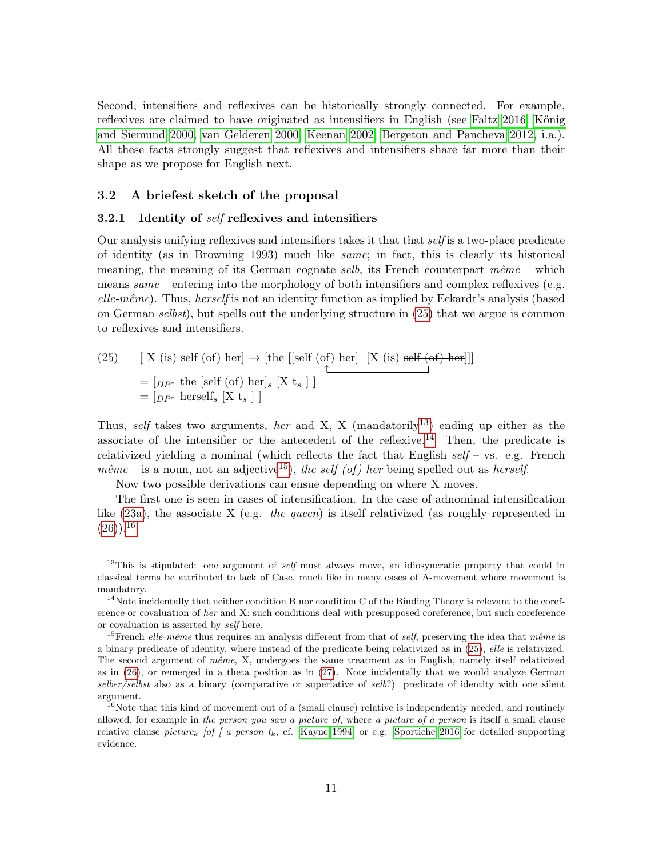Second, intensifiers and reflexives can be historically strongly connected. For example, reflexives are claimed to have originated as intensifiers in English (see [Faltz 2016,](#page-13-14) König [and Siemund 2000,](#page-14-11) [van Gelderen 2000,](#page-13-15) [Keenan 2002,](#page-14-12) [Bergeton and Pancheva 2012,](#page-13-16) i.a.). All these facts strongly suggest that reflexives and intensifiers share far more than their shape as we propose for English next.

#### 3.2 A briefest sketch of the proposal

#### 3.2.1 Identity of *self* reflexives and intensifiers

Our analysis unifying reflexives and intensifiers takes it that that self is a two-place predicate of identity (as in Browning 1993) much like same; in fact, this is clearly its historical meaning, the meaning of its German cognate selb, its French counterpart  $m\hat{e}me -$  which means  $same$  – entering into the morphology of both intensifiers and complex reflexives (e.g. elle-même). Thus, herself is not an identity function as implied by Eckardt's analysis (based on German selbst), but spells out the underlying structure in [\(25\)](#page-10-0) that we argue is common to reflexives and intensifiers.

<span id="page-10-0"></span>(25) [ X (is) self (of) her] 
$$
\rightarrow
$$
 [the [[self (of) her] [X (is) self (of) her]]]  
\n
$$
= [DP^* \text{ the [self (of) her}]_s [X t_s ]]
$$
\n
$$
= [DP^* \text{ herself } [X t_s ]]
$$

Thus, self takes two arguments, her and X, X (mandatorily<sup>[13](#page-10-1)</sup>) ending up either as the associate of the intensifier or the antecedent of the reflexive.<sup>[14](#page-10-2)</sup> Then, the predicate is relativized yielding a nominal (which reflects the fact that English  $self$  – vs. e.g. French  $m\hat{e}me -$  is a noun, not an adjective<sup>[15](#page-10-3)</sup>), the self (of) her being spelled out as herself.

Now two possible derivations can ensue depending on where X moves.

The first one is seen in cases of intensification. In the case of adnominal intensification like  $(23a)$ , the associate X (e.g. the queen) is itself relativized (as roughly represented in  $(26)$ ).<sup>[16](#page-10-5)</sup>

<span id="page-10-4"></span><span id="page-10-1"></span> $13$ This is stipulated: one argument of *self* must always move, an idiosyncratic property that could in classical terms be attributed to lack of Case, much like in many cases of A-movement where movement is mandatory.

<span id="page-10-2"></span> $14$ Note incidentally that neither condition B nor condition C of the Binding Theory is relevant to the coreference or covaluation of her and X: such conditions deal with presupposed coreference, but such coreference or covaluation is asserted by self here.

<span id="page-10-3"></span><sup>&</sup>lt;sup>15</sup>French elle-même thus requires an analysis different from that of self, preserving the idea that même is a binary predicate of identity, where instead of the predicate being relativized as in [\(25\)](#page-10-0), elle is relativized. The second argument of même, X, undergoes the same treatment as in English, namely itself relativized as in [\(26\)](#page-10-4), or remerged in a theta position as in [\(27\)](#page-11-0). Note incidentally that we would analyze German selber/selbst also as a binary (comparative or superlative of selb?) predicate of identity with one silent argument.

<span id="page-10-5"></span> $16$ Note that this kind of movement out of a (small clause) relative is independently needed, and routinely allowed, for example in the person you saw a picture of, where a picture of a person is itself a small clause relative clause picture<sub>k</sub> [of [ a person  $t_k$ , cf. [Kayne 1994,](#page-13-17) or e.g. [Sportiche 2016](#page-14-13) for detailed supporting evidence.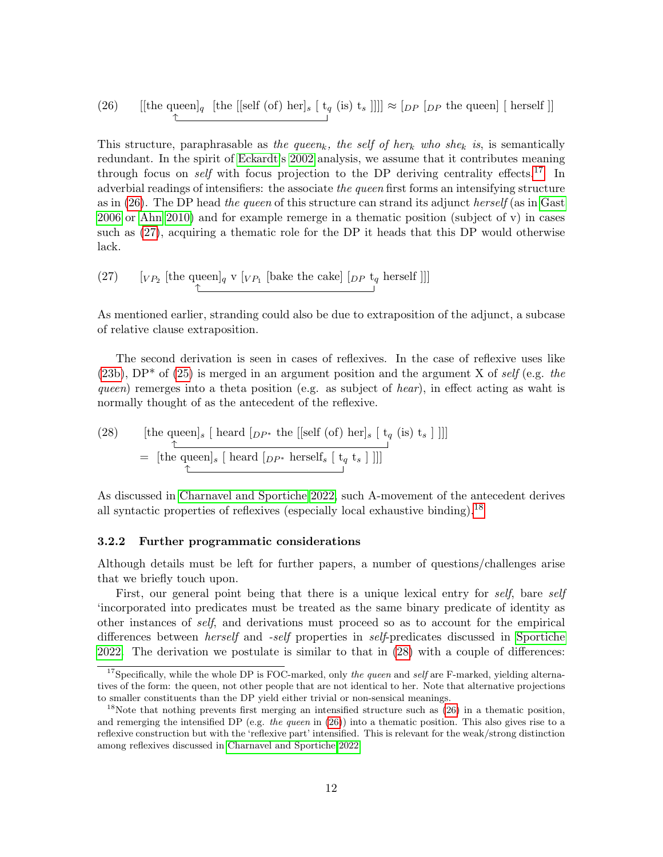(26) [[the queen]<sub>q</sub> [the [[self (of) her]<sub>s</sub> [ t<sub>q</sub> (is) t<sub>s</sub>]]]] 
$$
\approx
$$
 [<sub>DP</sub> [p<sub>P</sub> the queen] [herself]]

This structure, paraphrasable as the queen<sub>k</sub>, the self of her<sub>k</sub> who she<sub>k</sub> is, is semantically redundant. In the spirit of [Eckardt'](#page-13-2)s [2002](#page-13-2) analysis, we assume that it contributes meaning through focus on *self* with focus projection to the DP deriving centrality effects.<sup>[17](#page-11-1)</sup> In adverbial readings of intensifiers: the associate the queen first forms an intensifying structure as in  $(26)$ . The DP head the queen of this structure can strand its adjunct herself (as in [Gast](#page-13-4)) [2006](#page-13-4) or [Ahn 2010\)](#page-12-1) and for example remerge in a thematic position (subject of v) in cases such as [\(27\)](#page-11-0), acquiring a thematic role for the DP it heads that this DP would otherwise lack.

<span id="page-11-0"></span>(27) 
$$
\begin{bmatrix} V_{P_2} \end{bmatrix}
$$
 [the queen]<sub>q</sub> v  $V_{P_1}$  [bake the cake]  $[DP \, t_q \text{ herself} ]]$ ]

As mentioned earlier, stranding could also be due to extraposition of the adjunct, a subcase of relative clause extraposition.

The second derivation is seen in cases of reflexives. In the case of reflexive uses like  $(23b)$ , DP<sup>\*</sup> of  $(25)$  is merged in an argument position and the argument X of self (e.g. the queen) remerges into a theta position (e.g. as subject of hear), in effect acting as waht is normally thought of as the antecedent of the reflexive.

<span id="page-11-3"></span>(28) [the queen]<sub>s</sub> [ heard [
$$
_{DP^*}
$$
 the [[self (of) her]<sub>s</sub> [ t<sub>q</sub> (is) t<sub>s</sub> ]]]]  
= [the queen]<sub>s</sub> [ heard [ $_{DP^*}$  herself<sub>s</sub> [ t<sub>q</sub> t<sub>s</sub> ]]]]

As discussed in [Charnavel and Sportiche 2022,](#page-13-18) such A-movement of the antecedent derives all syntactic properties of reflexives (especially local exhaustive binding).[18](#page-11-2)

#### 3.2.2 Further programmatic considerations

Although details must be left for further papers, a number of questions/challenges arise that we briefly touch upon.

First, our general point being that there is a unique lexical entry for *self*, bare *self* 'incorporated into predicates must be treated as the same binary predicate of identity as other instances of self, and derivations must proceed so as to account for the empirical differences between herself and -self properties in self-predicates discussed in [Sportiche](#page-14-9) [2022.](#page-14-9) The derivation we postulate is similar to that in [\(28\)](#page-11-3) with a couple of differences:

<span id="page-11-1"></span><sup>&</sup>lt;sup>17</sup>Specifically, while the whole DP is FOC-marked, only the queen and self are F-marked, yielding alternatives of the form: the queen, not other people that are not identical to her. Note that alternative projections to smaller constituents than the DP yield either trivial or non-sensical meanings.

<span id="page-11-2"></span><sup>&</sup>lt;sup>18</sup>Note that nothing prevents first merging an intensified structure such as [\(26\)](#page-10-4) in a thematic position, and remerging the intensified DP (e.g. the queen in  $(26)$ ) into a thematic position. This also gives rise to a reflexive construction but with the 'reflexive part' intensified. This is relevant for the weak/strong distinction among reflexives discussed in [Charnavel and Sportiche 2022.](#page-13-18)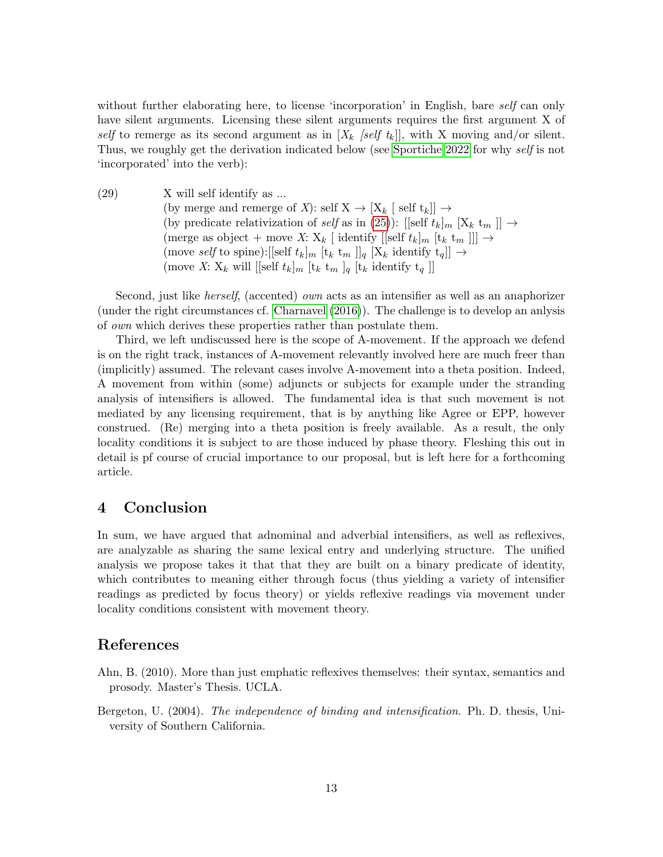without further elaborating here, to license 'incorporation' in English, bare self can only have silent arguments. Licensing these silent arguments requires the first argument X of self to remerge as its second argument as in  $[X_k$  [self  $t_k]$ ], with X moving and/or silent. Thus, we roughly get the derivation indicated below (see [Sportiche 2022](#page-14-9) for why self is not 'incorporated' into the verb):

(29) X will self identify as ... (by merge and remerge of X): self  $X \to [X_k \mid \text{self } t_k] \to$ (by predicate relativization of self as in [\(25\)](#page-10-0)): [[self  $t_k$ ]<sub>m</sub> [X<sub>k</sub>  $t_m$  ]]  $\rightarrow$ (merge as object + move X:  $X_k$  [ identify [[self  $t_k$ ]<sub>m</sub> [ $t_k$   $t_m$  ]]]  $\rightarrow$ (move self to spine):[[self  $t_k$ ]<sub>*m*</sub> [ $t_k$   $t_m$  ]]<sub>*q*</sub> [ $X_k$  identify  $t_q$ ]]  $\rightarrow$ (move X:  $X_k$  will [[self  $t_k$ ]<sub>*m*</sub> [ $t_k$   $t_m$  ]<sub>*q*</sub> [ $t_k$  identify  $t_q$ ]]

Second, just like *herself*, (accented) *own* acts as an intensifier as well as an anaphorizer (under the right circumstances cf. [Charnavel](#page-13-8) [\(2016\)](#page-13-8)). The challenge is to develop an anlysis of own which derives these properties rather than postulate them.

Third, we left undiscussed here is the scope of A-movement. If the approach we defend is on the right track, instances of A-movement relevantly involved here are much freer than (implicitly) assumed. The relevant cases involve A-movement into a theta position. Indeed, A movement from within (some) adjuncts or subjects for example under the stranding analysis of intensifiers is allowed. The fundamental idea is that such movement is not mediated by any licensing requirement, that is by anything like Agree or EPP, however construed. (Re) merging into a theta position is freely available. As a result, the only locality conditions it is subject to are those induced by phase theory. Fleshing this out in detail is pf course of crucial importance to our proposal, but is left here for a forthcoming article.

# 4 Conclusion

In sum, we have argued that adnominal and adverbial intensifiers, as well as reflexives, are analyzable as sharing the same lexical entry and underlying structure. The unified analysis we propose takes it that that they are built on a binary predicate of identity, which contributes to meaning either through focus (thus yielding a variety of intensifier readings as predicted by focus theory) or yields reflexive readings via movement under locality conditions consistent with movement theory.

## References

- <span id="page-12-1"></span>Ahn, B. (2010). More than just emphatic reflexives themselves: their syntax, semantics and prosody. Master's Thesis. UCLA.
- <span id="page-12-0"></span>Bergeton, U. (2004). The independence of binding and intensification. Ph. D. thesis, University of Southern California.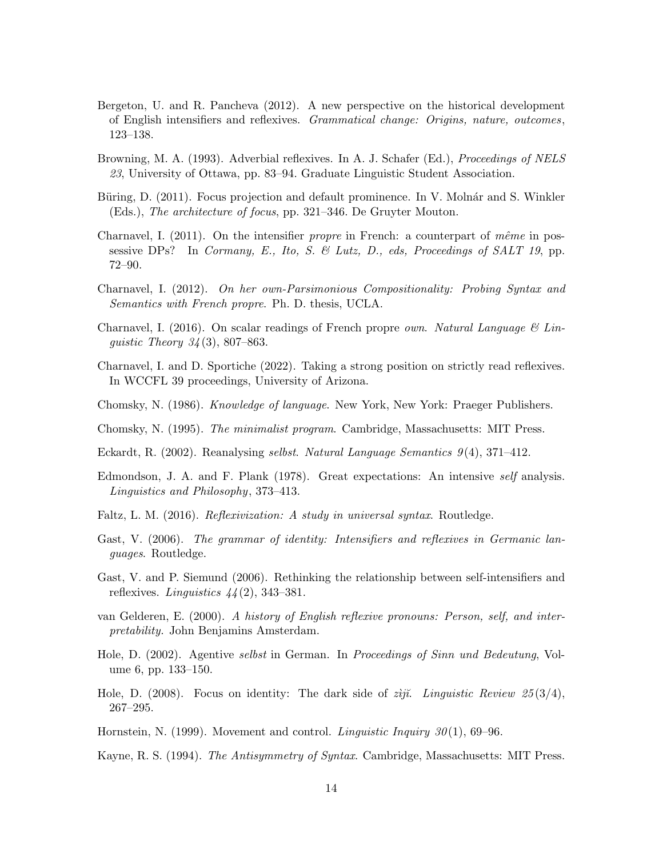- <span id="page-13-16"></span>Bergeton, U. and R. Pancheva (2012). A new perspective on the historical development of English intensifiers and reflexives. Grammatical change: Origins, nature, outcomes, 123–138.
- <span id="page-13-1"></span>Browning, M. A. (1993). Adverbial reflexives. In A. J. Schafer (Ed.), *Proceedings of NELS* 23, University of Ottawa, pp. 83–94. Graduate Linguistic Student Association.
- <span id="page-13-9"></span>Büring, D. (2011). Focus projection and default prominence. In V. Molnár and S. Winkler (Eds.), The architecture of focus, pp. 321–346. De Gruyter Mouton.
- <span id="page-13-5"></span>Charnavel, I. (2011). On the intensifier propre in French: a counterpart of même in possessive DPs? In Cormany, E., Ito, S. & Lutz, D., eds, Proceedings of SALT 19, pp. 72–90.
- <span id="page-13-6"></span>Charnavel, I. (2012). On her own-Parsimonious Compositionality: Probing Syntax and Semantics with French propre. Ph. D. thesis, UCLA.
- <span id="page-13-8"></span>Charnavel, I. (2016). On scalar readings of French propre *own.* Natural Language  $\mathcal{C}$  Linquistic Theory  $34(3)$ , 807–863.
- <span id="page-13-18"></span>Charnavel, I. and D. Sportiche (2022). Taking a strong position on strictly read reflexives. In WCCFL 39 proceedings, University of Arizona.
- <span id="page-13-12"></span>Chomsky, N. (1986). Knowledge of language. New York, New York: Praeger Publishers.
- <span id="page-13-10"></span>Chomsky, N. (1995). The minimalist program. Cambridge, Massachusetts: MIT Press.
- <span id="page-13-2"></span>Eckardt, R. (2002). Reanalysing selbst. Natural Language Semantics 9 (4), 371–412.
- <span id="page-13-0"></span>Edmondson, J. A. and F. Plank (1978). Great expectations: An intensive self analysis. Linguistics and Philosophy, 373–413.
- <span id="page-13-14"></span>Faltz, L. M. (2016). *Reflexivization: A study in universal syntax.* Routledge.
- <span id="page-13-4"></span>Gast, V. (2006). The grammar of identity: Intensifiers and reflexives in Germanic languages. Routledge.
- <span id="page-13-13"></span>Gast, V. and P. Siemund (2006). Rethinking the relationship between self-intensifiers and reflexives. Linguistics  $44(2)$ , 343–381.
- <span id="page-13-15"></span>van Gelderen, E. (2000). A history of English reflexive pronouns: Person, self, and interpretability. John Benjamins Amsterdam.
- <span id="page-13-3"></span>Hole, D. (2002). Agentive selbst in German. In Proceedings of Sinn und Bedeutung, Volume 6, pp. 133–150.
- <span id="page-13-7"></span>Hole, D. (2008). Focus on identity: The dark side of  $zij\tilde{i}$ . Linguistic Review 25(3/4), 267–295.
- <span id="page-13-11"></span>Hornstein, N. (1999). Movement and control. *Linguistic Inquiry*  $30(1)$ , 69–96.

<span id="page-13-17"></span>Kayne, R. S. (1994). *The Antisymmetry of Syntax*. Cambridge, Massachusetts: MIT Press.